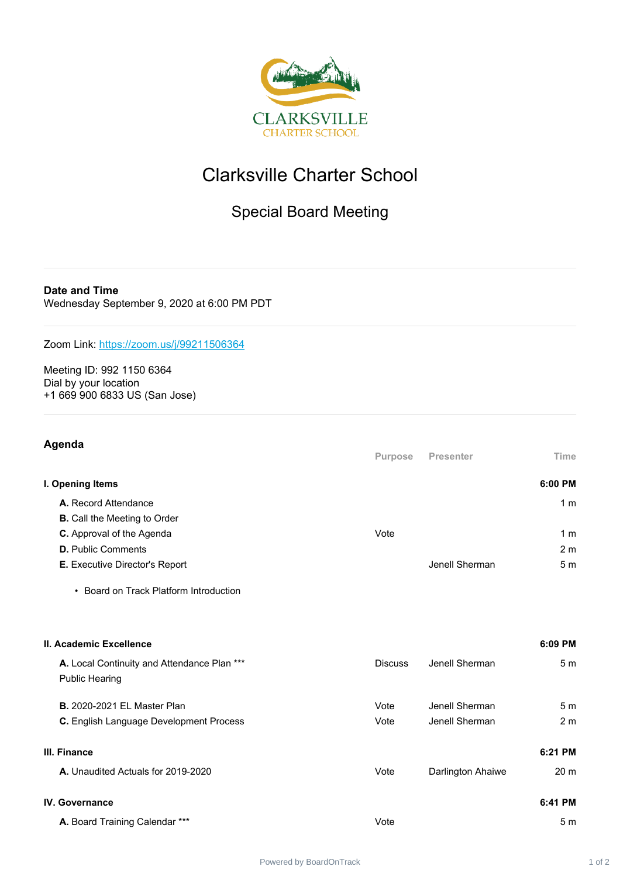

## Clarksville Charter School

## Special Board Meeting

**Date and Time** Wednesday September 9, 2020 at 6:00 PM PDT

Zoom Link: <https://zoom.us/j/99211506364>

Meeting ID: 992 1150 6364 Dial by your location +1 669 900 6833 US (San Jose)

| Agenda                                                               | Purpose        | <b>Presenter</b>  | Time            |
|----------------------------------------------------------------------|----------------|-------------------|-----------------|
| I. Opening Items                                                     |                |                   | 6:00 PM         |
| A. Record Attendance                                                 |                |                   | 1 <sub>m</sub>  |
| <b>B.</b> Call the Meeting to Order                                  |                |                   |                 |
| C. Approval of the Agenda                                            | Vote           |                   | 1 <sub>m</sub>  |
| <b>D.</b> Public Comments                                            |                |                   | 2 <sub>m</sub>  |
| E. Executive Director's Report                                       |                | Jenell Sherman    | 5 <sub>m</sub>  |
| • Board on Track Platform Introduction                               |                |                   |                 |
| II. Academic Excellence                                              |                |                   | 6:09 PM         |
| A. Local Continuity and Attendance Plan ***<br><b>Public Hearing</b> | <b>Discuss</b> | Jenell Sherman    | 5 <sub>m</sub>  |
| <b>B.</b> 2020-2021 EL Master Plan                                   | Vote           | Jenell Sherman    | 5 <sub>m</sub>  |
| C. English Language Development Process                              | Vote           | Jenell Sherman    | 2 <sub>m</sub>  |
| III. Finance                                                         |                |                   | 6:21 PM         |
| A. Unaudited Actuals for 2019-2020                                   | Vote           | Darlington Ahaiwe | 20 <sub>m</sub> |
| <b>IV.</b> Governance                                                |                |                   | 6:41 PM         |
| A. Board Training Calendar ***                                       | Vote           |                   | 5 <sub>m</sub>  |